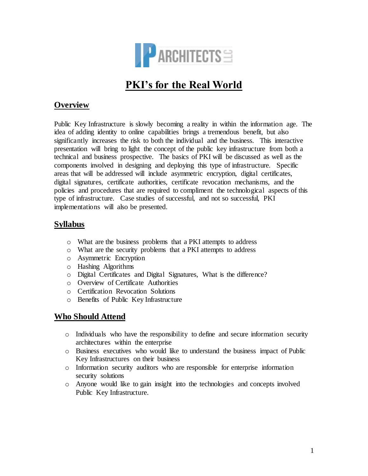

# **PKI's for the Real World**

### **Overview**

Public Key Infrastructure is slowly becoming a reality in within the information age. The idea of adding identity to online capabilities brings a tremendous benefit, but also significantly increases the risk to both the individual and the business. This interactive presentation will bring to light the concept of the public key infrastructure from both a technical and business prospective. The basics of PKI will be discussed as well as the components involved in designing and deploying this type of infrastructure. Specific areas that will be addressed will include asymmetric encryption, digital certificates, digital signatures, certificate authorities, certificate revocation mechanisms, and the policies and procedures that are required to compliment the technological aspects of this type of infrastructure. Case studies of successful, and not so successful, PKI implementations will also be presented.

## **Syllabus**

- o What are the business problems that a PKI attempts to address
- o What are the security problems that a PKI attempts to address
- o Asymmetric Encryption
- o Hashing Algorithms
- o Digital Certificates and Digital Signatures, What is the difference?
- o Overview of Certificate Authorities
- o Certification Revocation Solutions
- o Benefits of Public Key Infrastructure

## **Who Should Attend**

- o Individuals who have the responsibility to define and secure information security architectures within the enterprise
- o Business executives who would like to understand the business impact of Public Key Infrastructures on their business
- o Information security auditors who are responsible for enterprise information security solutions
- o Anyone would like to gain insight into the technologies and concepts involved Public Key Infrastructure.